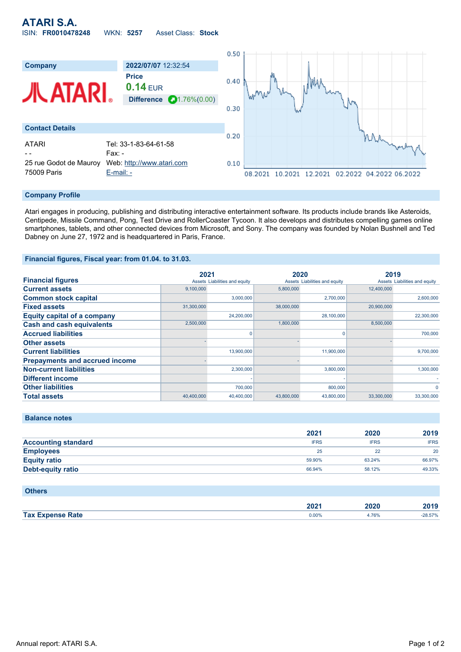# **ATARI S.A.** ISIN: **FR0010478248** WKN: **5257** Asset Class: **Stock**



### **Company Profile**

Atari engages in producing, publishing and distributing interactive entertainment software. Its products include brands like Asteroids, Centipede, Missile Command, Pong, Test Drive and RollerCoaster Tycoon. It also develops and distributes compelling games online smartphones, tablets, and other connected devices from Microsoft, and Sony. The company was founded by Nolan Bushnell and Ted Dabney on June 27, 1972 and is headquartered in Paris, France.

### **Financial figures, Fiscal year: from 01.04. to 31.03.**

|                                       | 2021       |                               | 2020       |                               | 2019       |                               |
|---------------------------------------|------------|-------------------------------|------------|-------------------------------|------------|-------------------------------|
| <b>Financial figures</b>              |            | Assets Liabilities and equity |            | Assets Liabilities and equity |            | Assets Liabilities and equity |
| <b>Current assets</b>                 | 9.100.000  |                               | 5,800,000  |                               | 12,400,000 |                               |
| <b>Common stock capital</b>           |            | 3.000.000                     |            | 2.700.000                     |            | 2,600,000                     |
| <b>Fixed assets</b>                   | 31,300,000 |                               | 38,000,000 |                               | 20,900,000 |                               |
| <b>Equity capital of a company</b>    |            | 24,200,000                    |            | 28,100,000                    |            | 22,300,000                    |
| <b>Cash and cash equivalents</b>      | 2,500,000  |                               | 1,800,000  |                               | 8,500,000  |                               |
| <b>Accrued liabilities</b>            |            | 0                             |            | 0                             |            | 700.000                       |
| <b>Other assets</b>                   |            |                               |            |                               |            |                               |
| <b>Current liabilities</b>            |            | 13,900,000                    |            | 11,900,000                    |            | 9,700,000                     |
| <b>Prepayments and accrued income</b> |            |                               |            |                               |            |                               |
| <b>Non-current liabilities</b>        |            | 2,300,000                     |            | 3,800,000                     |            | 1,300,000                     |
| <b>Different income</b>               |            |                               |            |                               |            |                               |
| <b>Other liabilities</b>              |            | 700,000                       |            | 800,000                       |            | $\Omega$                      |
| <b>Total assets</b>                   | 40,400,000 | 40,400,000                    | 43,800,000 | 43,800,000                    | 33,300,000 | 33,300,000                    |

| <b>Balance notes</b> |  |  |  |  |  |
|----------------------|--|--|--|--|--|
|----------------------|--|--|--|--|--|

|                            | 2021        | 2020        | 2019        |
|----------------------------|-------------|-------------|-------------|
| <b>Accounting standard</b> | <b>IFRS</b> | <b>IFRS</b> | <b>IFRS</b> |
| <b>Employees</b>           | 25          |             | 20          |
| <b>Equity ratio</b>        | 59.90%      | 63.24%      | 66.97%      |
| Debt-equity ratio          | 66.94%      | 58.12%      | 49.33%      |

## **Others**

|                         | 2021  | 2020  | 0.40      |
|-------------------------|-------|-------|-----------|
|                         | ZUZ I | ____  | 60 I J    |
| <b>Tax Expense Rate</b> | 0.00% | 4.76% | $-28.57%$ |